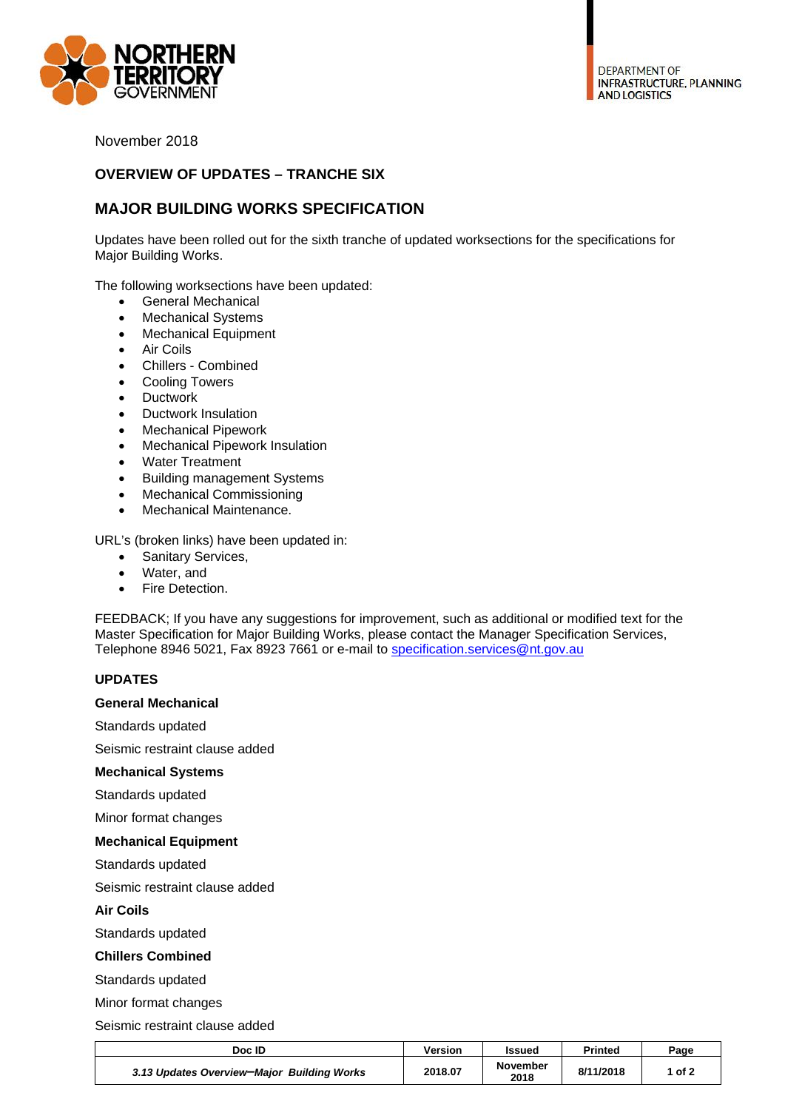

November 2018

## **OVERVIEW OF UPDATES – TRANCHE SIX**

# **MAJOR BUILDING WORKS SPECIFICATION**

Updates have been rolled out for the sixth tranche of updated worksections for the specifications for Major Building Works.

The following worksections have been updated:

- General Mechanical
- Mechanical Systems
- Mechanical Equipment
- Air Coils
- Chillers Combined
- Cooling Towers
- Ductwork
- Ductwork Insulation
- Mechanical Pipework
- Mechanical Pipework Insulation
- Water Treatment
- Building management Systems
- Mechanical Commissioning
- Mechanical Maintenance.

URL's (broken links) have been updated in:

- Sanitary Services,
- Water, and
- **•** Fire Detection.

FEEDBACK; If you have any suggestions for improvement, such as additional or modified text for the Master Specification for Major Building Works, please contact the Manager Specification Services, Telephone 8946 5021, Fax 8923 7661 or e-mail to specification.services@nt.gov.au

### **UPDATES**

#### **General Mechanical**

Standards updated

Seismic restraint clause added

#### **Mechanical Systems**

Standards updated

Minor format changes

#### **Mechanical Equipment**

Standards updated

Seismic restraint clause added

**Air Coils** 

Standards updated

#### **Chillers Combined**

Standards updated

Minor format changes

Seismic restraint clause added

| Doc ID                                     | Version | Issued                  | Printed   | Page |
|--------------------------------------------|---------|-------------------------|-----------|------|
| 3.13 Updates Overview-Major Building Works | 2018.07 | <b>November</b><br>2018 | 8/11/2018 | of 2 |